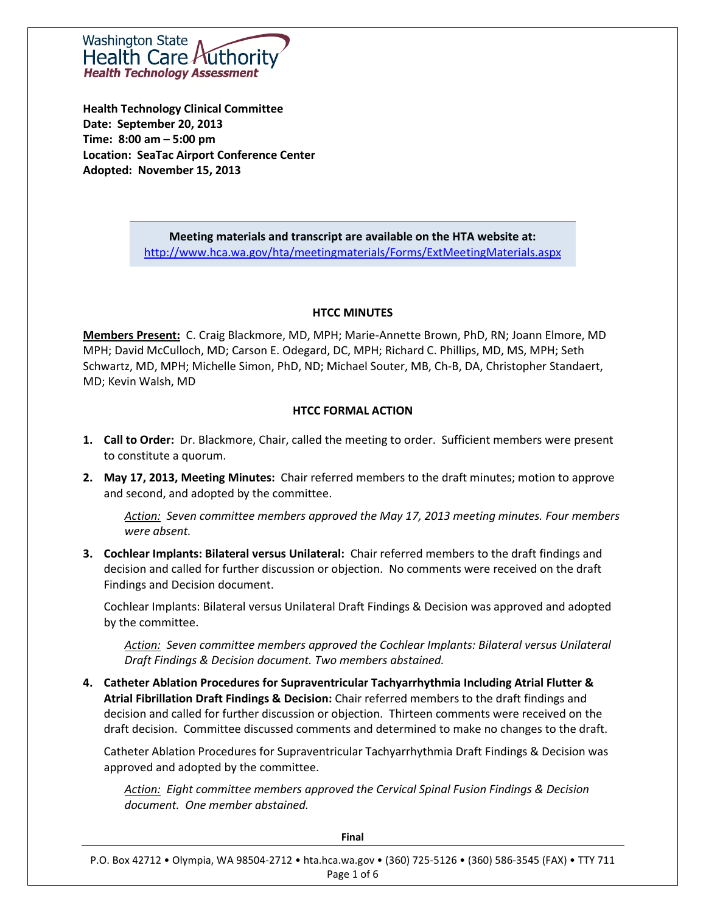Washington State Health Care *k* **Health Technology Assessment** 

**Health Technology Clinical Committee Date: September 20, 2013 Time: 8:00 am – 5:00 pm Location: SeaTac Airport Conference Center Adopted: November 15, 2013**

> **Meeting materials and transcript are available on the HTA website at:** <http://www.hca.wa.gov/hta/meetingmaterials/Forms/ExtMeetingMaterials.aspx>

#### **HTCC MINUTES**

**Members Present:** C. Craig Blackmore, MD, MPH; Marie-Annette Brown, PhD, RN; Joann Elmore, MD MPH; David McCulloch, MD; Carson E. Odegard, DC, MPH; Richard C. Phillips, MD, MS, MPH; Seth Schwartz, MD, MPH; Michelle Simon, PhD, ND; Michael Souter, MB, Ch-B, DA, Christopher Standaert, MD; Kevin Walsh, MD

#### **HTCC FORMAL ACTION**

- **1. Call to Order:** Dr. Blackmore, Chair, called the meeting to order. Sufficient members were present to constitute a quorum.
- **2. May 17, 2013, Meeting Minutes:** Chair referred members to the draft minutes; motion to approve and second, and adopted by the committee.

*Action: Seven committee members approved the May 17, 2013 meeting minutes. Four members were absent.*

**3. Cochlear Implants: Bilateral versus Unilateral:** Chair referred members to the draft findings and decision and called for further discussion or objection. No comments were received on the draft Findings and Decision document.

Cochlear Implants: Bilateral versus Unilateral Draft Findings & Decision was approved and adopted by the committee.

*Action: Seven committee members approved the Cochlear Implants: Bilateral versus Unilateral Draft Findings & Decision document. Two members abstained.*

**4. Catheter Ablation Procedures for Supraventricular Tachyarrhythmia Including Atrial Flutter & Atrial Fibrillation Draft Findings & Decision:** Chair referred members to the draft findings and decision and called for further discussion or objection. Thirteen comments were received on the draft decision. Committee discussed comments and determined to make no changes to the draft.

Catheter Ablation Procedures for Supraventricular Tachyarrhythmia Draft Findings & Decision was approved and adopted by the committee.

*Action: Eight committee members approved the Cervical Spinal Fusion Findings & Decision document. One member abstained.*

| Final                                                                                                      |  |  |  |
|------------------------------------------------------------------------------------------------------------|--|--|--|
| P.O. Box 42712 • Olympia, WA 98504-2712 • hta.hca.wa.gov • (360) 725-5126 • (360) 586-3545 (FAX) • TTY 711 |  |  |  |
| Page 1 of 6                                                                                                |  |  |  |

**Final**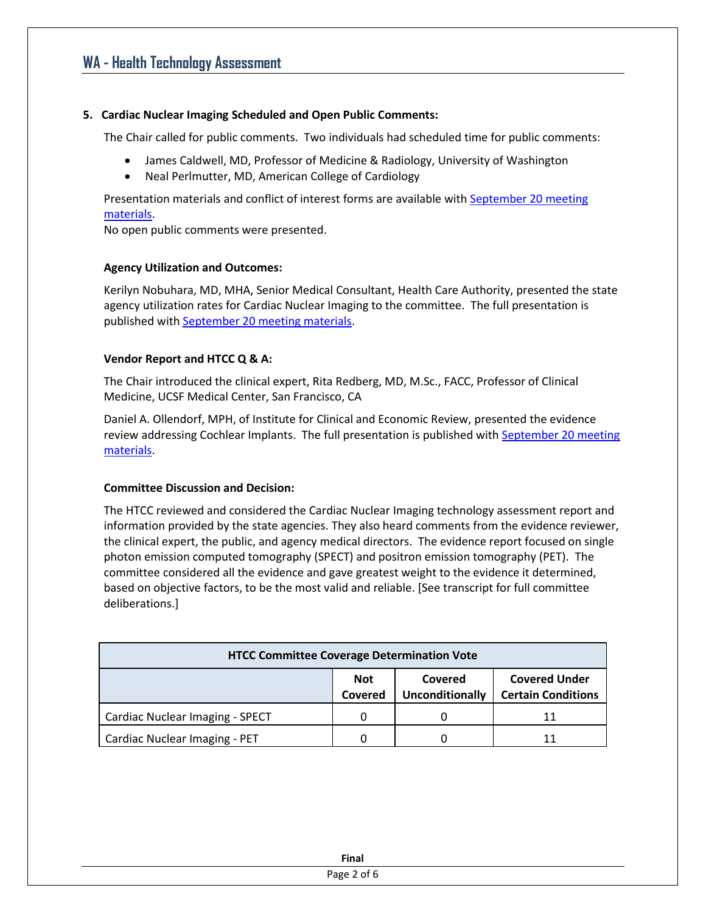### **5. Cardiac Nuclear Imaging Scheduled and Open Public Comments:**

The Chair called for public comments. Two individuals had scheduled time for public comments:

- James Caldwell, MD, Professor of Medicine & Radiology, University of Washington
- Neal Perlmutter, MD, American College of Cardiology

Presentation materials and conflict of interest forms are available wit[h September 20](http://www.hta.hca.wa.gov/past_materials.html) meeting [materials.](http://www.hta.hca.wa.gov/past_materials.html)

No open public comments were presented.

### **Agency Utilization and Outcomes:**

Kerilyn Nobuhara, MD, MHA, Senior Medical Consultant, Health Care Authority, presented the state agency utilization rates for Cardiac Nuclear Imaging to the committee. The full presentation is published wit[h September 20 meeting materials.](http://www.hta.hca.wa.gov/past_materials.html)

### **Vendor Report and HTCC Q & A:**

The Chair introduced the clinical expert, Rita Redberg, MD, M.Sc., FACC, Professor of Clinical Medicine, UCSF Medical Center, San Francisco, CA

Daniel A. Ollendorf, MPH, of Institute for Clinical and Economic Review, presented the evidence review addressing Cochlear Implants. The full presentation is published with September 20 meeting [materials.](http://www.hta.hca.wa.gov/past_materials.html)

### **Committee Discussion and Decision:**

The HTCC reviewed and considered the Cardiac Nuclear Imaging technology assessment report and information provided by the state agencies. They also heard comments from the evidence reviewer, the clinical expert, the public, and agency medical directors. The evidence report focused on single photon emission computed tomography (SPECT) and positron emission tomography (PET). The committee considered all the evidence and gave greatest weight to the evidence it determined, based on objective factors, to be the most valid and reliable. [See transcript for full committee deliberations.]

| <b>HTCC Committee Coverage Determination Vote</b> |                              |                                   |                                                   |
|---------------------------------------------------|------------------------------|-----------------------------------|---------------------------------------------------|
|                                                   | <b>Not</b><br><b>Covered</b> | Covered<br><b>Unconditionally</b> | <b>Covered Under</b><br><b>Certain Conditions</b> |
| Cardiac Nuclear Imaging - SPECT                   |                              | O                                 | 11                                                |
| Cardiac Nuclear Imaging - PET                     |                              |                                   | 11                                                |

| Final       |
|-------------|
| Page 2 of 6 |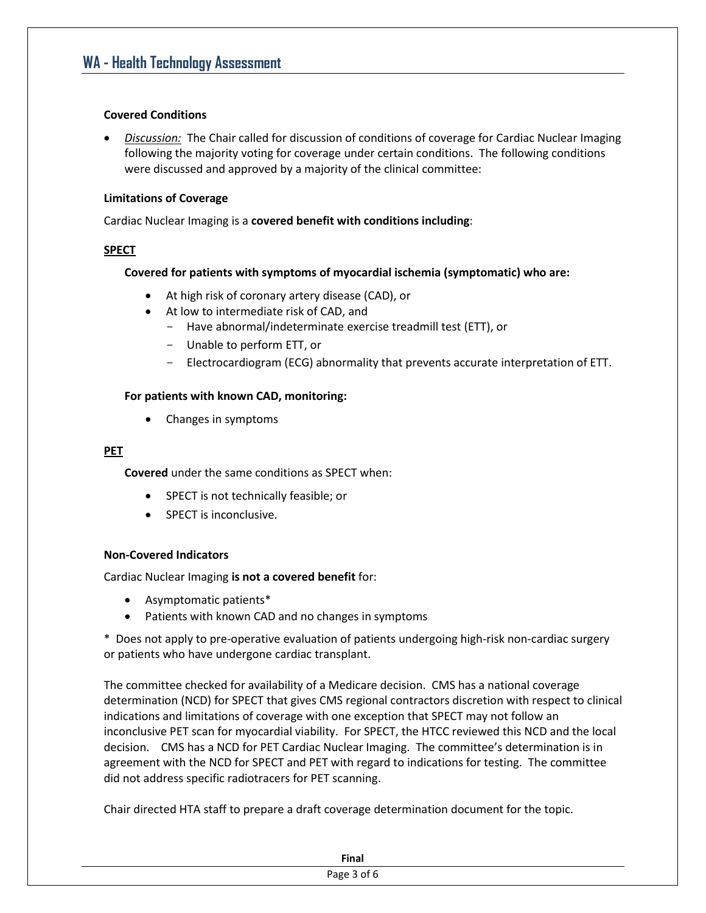#### **Covered Conditions**

 *Discussion:* The Chair called for discussion of conditions of coverage for Cardiac Nuclear Imaging following the majority voting for coverage under certain conditions. The following conditions were discussed and approved by a majority of the clinical committee:

#### **Limitations of Coverage**

Cardiac Nuclear Imaging is a **covered benefit with conditions including**:

### **SPECT**

### **Covered for patients with symptoms of myocardial ischemia (symptomatic) who are:**

- At high risk of coronary artery disease (CAD), or
- At low to intermediate risk of CAD, and
	- Have abnormal/indeterminate exercise treadmill test (ETT), or
	- Unable to perform ETT, or
	- Electrocardiogram (ECG) abnormality that prevents accurate interpretation of ETT.

### **For patients with known CAD, monitoring:**

• Changes in symptoms

#### **PET**

**Covered** under the same conditions as SPECT when:

- SPECT is not technically feasible; or
- SPECT is inconclusive.

### **Non-Covered Indicators**

Cardiac Nuclear Imaging **is not a covered benefit** for:

- Asymptomatic patients\*
- Patients with known CAD and no changes in symptoms

\* Does not apply to pre-operative evaluation of patients undergoing high-risk non-cardiac surgery or patients who have undergone cardiac transplant.

The committee checked for availability of a Medicare decision. CMS has a national coverage determination (NCD) for SPECT that gives CMS regional contractors discretion with respect to clinical indications and limitations of coverage with one exception that SPECT may not follow an inconclusive PET scan for myocardial viability. For SPECT, the HTCC reviewed this NCD and the local decision. CMS has a NCD for PET Cardiac Nuclear Imaging. The committee's determination is in agreement with the NCD for SPECT and PET with regard to indications for testing. The committee did not address specific radiotracers for PET scanning.

Chair directed HTA staff to prepare a draft coverage determination document for the topic.

| <b>Final</b> |
|--------------|
| י age 3 ot   |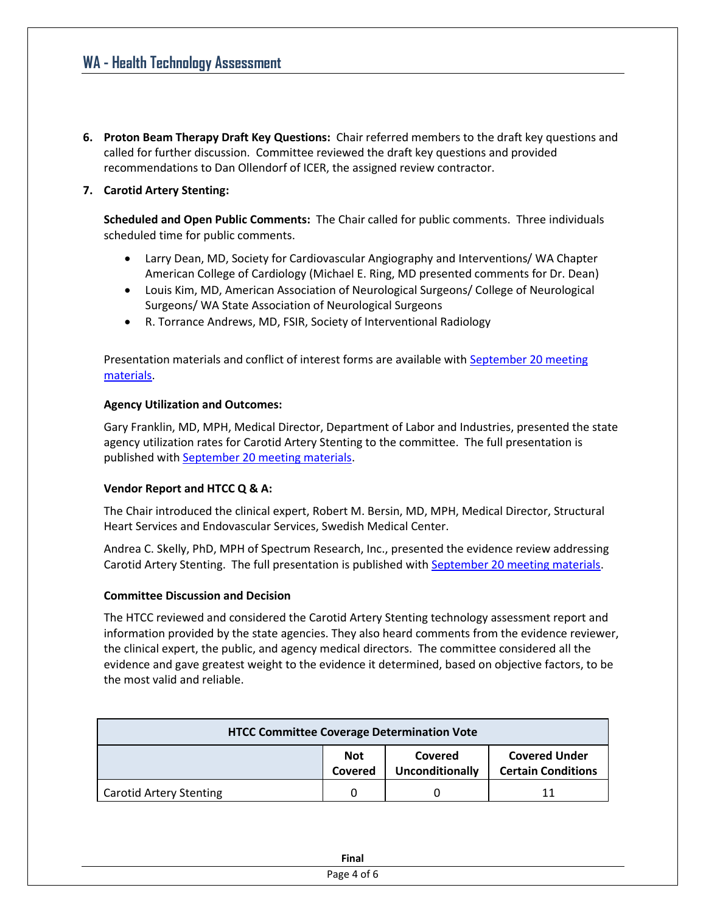**6. Proton Beam Therapy Draft Key Questions:** Chair referred members to the draft key questions and called for further discussion. Committee reviewed the draft key questions and provided recommendations to Dan Ollendorf of ICER, the assigned review contractor.

## **7. Carotid Artery Stenting:**

**Scheduled and Open Public Comments:** The Chair called for public comments. Three individuals scheduled time for public comments.

- Larry Dean, MD, Society for Cardiovascular Angiography and Interventions/ WA Chapter American College of Cardiology (Michael E. Ring, MD presented comments for Dr. Dean)
- Louis Kim, MD, American Association of Neurological Surgeons/ College of Neurological Surgeons/ WA State Association of Neurological Surgeons
- R. Torrance Andrews, MD, FSIR, Society of Interventional Radiology

Presentation materials and conflict of interest forms are available with September 20 meeting [materials.](http://www.hta.hca.wa.gov/past_materials.html)

### **Agency Utilization and Outcomes:**

Gary Franklin, MD, MPH, Medical Director, Department of Labor and Industries, presented the state agency utilization rates for Carotid Artery Stenting to the committee. The full presentation is published wit[h September 20 meeting materials.](http://www.hta.hca.wa.gov/past_materials.html)

### **Vendor Report and HTCC Q & A:**

The Chair introduced the clinical expert, Robert M. Bersin, MD, MPH, Medical Director, Structural Heart Services and Endovascular Services, Swedish Medical Center.

Andrea C. Skelly, PhD, MPH of Spectrum Research, Inc., presented the evidence review addressing Carotid Artery Stenting. The full presentation is published with [September 20 meeting materials.](http://www.hta.hca.wa.gov/past_materials.html)

### **Committee Discussion and Decision**

The HTCC reviewed and considered the Carotid Artery Stenting technology assessment report and information provided by the state agencies. They also heard comments from the evidence reviewer, the clinical expert, the public, and agency medical directors. The committee considered all the evidence and gave greatest weight to the evidence it determined, based on objective factors, to be the most valid and reliable.

| <b>HTCC Committee Coverage Determination Vote</b> |                |                                   |                                                   |
|---------------------------------------------------|----------------|-----------------------------------|---------------------------------------------------|
|                                                   | Not<br>Covered | Covered<br><b>Unconditionally</b> | <b>Covered Under</b><br><b>Certain Conditions</b> |
| <b>Carotid Artery Stenting</b>                    |                |                                   |                                                   |

| <b>Sino</b><br><b>FIIIdi</b> |  |
|------------------------------|--|
| $\sim$ $\sim$                |  |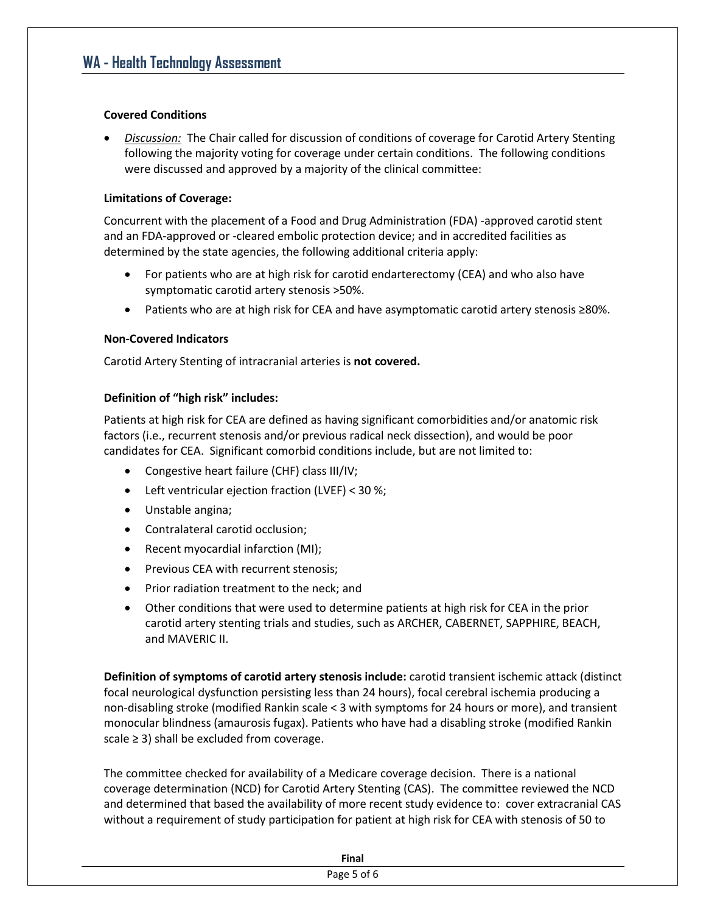#### **Covered Conditions**

 *Discussion:* The Chair called for discussion of conditions of coverage for Carotid Artery Stenting following the majority voting for coverage under certain conditions. The following conditions were discussed and approved by a majority of the clinical committee:

#### **Limitations of Coverage:**

Concurrent with the placement of a Food and Drug Administration (FDA) -approved carotid stent and an FDA-approved or -cleared embolic protection device; and in accredited facilities as determined by the state agencies, the following additional criteria apply:

- For patients who are at high risk for carotid endarterectomy (CEA) and who also have symptomatic carotid artery stenosis >50%.
- Patients who are at high risk for CEA and have asymptomatic carotid artery stenosis ≥80%.

#### **Non-Covered Indicators**

Carotid Artery Stenting of intracranial arteries is **not covered.**

#### **Definition of "high risk" includes:**

Patients at high risk for CEA are defined as having significant comorbidities and/or anatomic risk factors (i.e., recurrent stenosis and/or previous radical neck dissection), and would be poor candidates for CEA. Significant comorbid conditions include, but are not limited to:

- Congestive heart failure (CHF) class III/IV;
- Left ventricular ejection fraction (LVEF) < 30 %;
- Unstable angina;
- Contralateral carotid occlusion;
- Recent myocardial infarction (MI);
- Previous CEA with recurrent stenosis;
- Prior radiation treatment to the neck; and
- Other conditions that were used to determine patients at high risk for CEA in the prior carotid artery stenting trials and studies, such as ARCHER, CABERNET, SAPPHIRE, BEACH, and MAVERIC II.

**Definition of symptoms of carotid artery stenosis include:** carotid transient ischemic attack (distinct focal neurological dysfunction persisting less than 24 hours), focal cerebral ischemia producing a non-disabling stroke (modified Rankin scale < 3 with symptoms for 24 hours or more), and transient monocular blindness (amaurosis fugax). Patients who have had a disabling stroke (modified Rankin scale  $\geq$  3) shall be excluded from coverage.

The committee checked for availability of a Medicare coverage decision. There is a national coverage determination (NCD) for Carotid Artery Stenting (CAS). The committee reviewed the NCD and determined that based the availability of more recent study evidence to: cover extracranial CAS without a requirement of study participation for patient at high risk for CEA with stenosis of 50 to

| Final |
|-------|
|       |